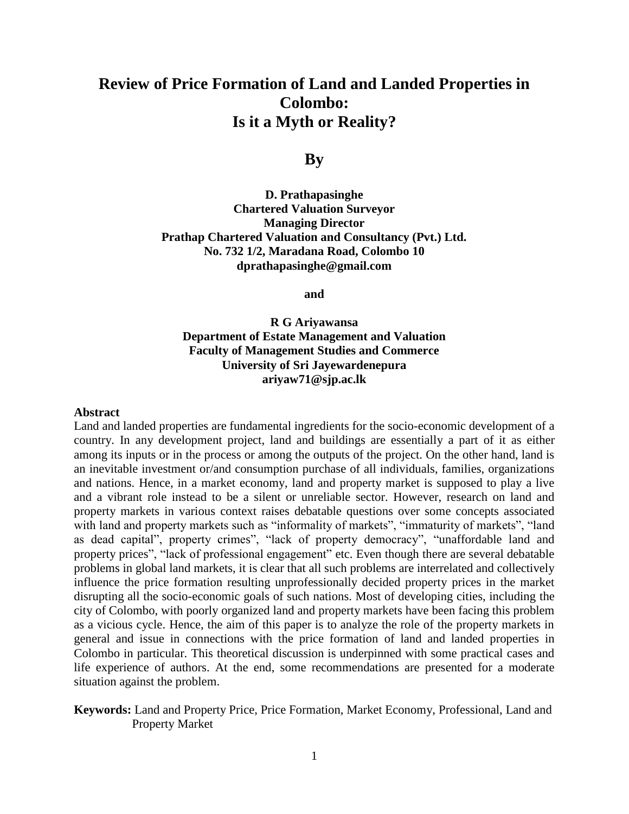# **Review of Price Formation of Land and Landed Properties in Colombo: Is it a Myth or Reality?**

## **By**

**D. Prathapasinghe Chartered Valuation Surveyor Managing Director Prathap Chartered Valuation and Consultancy (Pvt.) Ltd. No. 732 1/2, Maradana Road, Colombo 10 [dprathapasinghe@gmail.com](mailto:dprathapasinghe@gmail.com)**

**and** 

**R G Ariyawansa Department of Estate Management and Valuation Faculty of Management Studies and Commerce University of Sri Jayewardenepura ariyaw71@sjp.ac.lk**

#### **Abstract**

Land and landed properties are fundamental ingredients for the socio-economic development of a country. In any development project, land and buildings are essentially a part of it as either among its inputs or in the process or among the outputs of the project. On the other hand, land is an inevitable investment or/and consumption purchase of all individuals, families, organizations and nations. Hence, in a market economy, land and property market is supposed to play a live and a vibrant role instead to be a silent or unreliable sector. However, research on land and property markets in various context raises debatable questions over some concepts associated with land and property markets such as "informality of markets", "immaturity of markets", "land as dead capital", property crimes", "lack of property democracy", "unaffordable land and property prices", "lack of professional engagement" etc. Even though there are several debatable problems in global land markets, it is clear that all such problems are interrelated and collectively influence the price formation resulting unprofessionally decided property prices in the market disrupting all the socio-economic goals of such nations. Most of developing cities, including the city of Colombo, with poorly organized land and property markets have been facing this problem as a vicious cycle. Hence, the aim of this paper is to analyze the role of the property markets in general and issue in connections with the price formation of land and landed properties in Colombo in particular. This theoretical discussion is underpinned with some practical cases and life experience of authors. At the end, some recommendations are presented for a moderate situation against the problem.

**Keywords:** Land and Property Price, Price Formation, Market Economy, Professional, Land and Property Market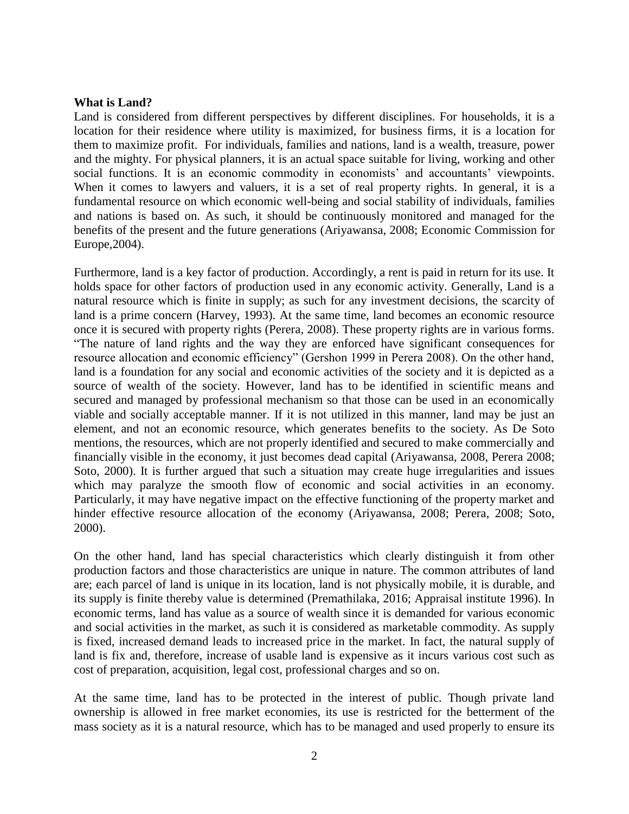### **What is Land?**

Land is considered from different perspectives by different disciplines. For households, it is a location for their residence where utility is maximized, for business firms, it is a location for them to maximize profit. For individuals, families and nations, land is a wealth, treasure, power and the mighty. For physical planners, it is an actual space suitable for living, working and other social functions. It is an economic commodity in economists' and accountants' viewpoints. When it comes to lawyers and valuers, it is a set of real property rights. In general, it is a fundamental resource on which economic well-being and social stability of individuals, families and nations is based on. As such, it should be continuously monitored and managed for the benefits of the present and the future generations (Ariyawansa, 2008; Economic Commission for Europe,2004).

Furthermore, land is a key factor of production. Accordingly, a rent is paid in return for its use. It holds space for other factors of production used in any economic activity. Generally, Land is a natural resource which is finite in supply; as such for any investment decisions, the scarcity of land is a prime concern (Harvey, 1993). At the same time, land becomes an economic resource once it is secured with property rights (Perera, 2008). These property rights are in various forms. "The nature of land rights and the way they are enforced have significant consequences for resource allocation and economic efficiency" (Gershon 1999 in Perera 2008). On the other hand, land is a foundation for any social and economic activities of the society and it is depicted as a source of wealth of the society. However, land has to be identified in scientific means and secured and managed by professional mechanism so that those can be used in an economically viable and socially acceptable manner. If it is not utilized in this manner, land may be just an element, and not an economic resource, which generates benefits to the society. As De Soto mentions, the resources, which are not properly identified and secured to make commercially and financially visible in the economy, it just becomes dead capital (Ariyawansa, 2008, Perera 2008; Soto, 2000). It is further argued that such a situation may create huge irregularities and issues which may paralyze the smooth flow of economic and social activities in an economy. Particularly, it may have negative impact on the effective functioning of the property market and hinder effective resource allocation of the economy (Ariyawansa, 2008; Perera, 2008; Soto, 2000).

On the other hand, land has special characteristics which clearly distinguish it from other production factors and those characteristics are unique in nature. The common attributes of land are; each parcel of land is unique in its location, land is not physically mobile, it is durable, and its supply is finite thereby value is determined (Premathilaka, 2016; Appraisal institute 1996). In economic terms, land has value as a source of wealth since it is demanded for various economic and social activities in the market, as such it is considered as marketable commodity. As supply is fixed, increased demand leads to increased price in the market. In fact, the natural supply of land is fix and, therefore, increase of usable land is expensive as it incurs various cost such as cost of preparation, acquisition, legal cost, professional charges and so on.

At the same time, land has to be protected in the interest of public. Though private land ownership is allowed in free market economies, its use is restricted for the betterment of the mass society as it is a natural resource, which has to be managed and used properly to ensure its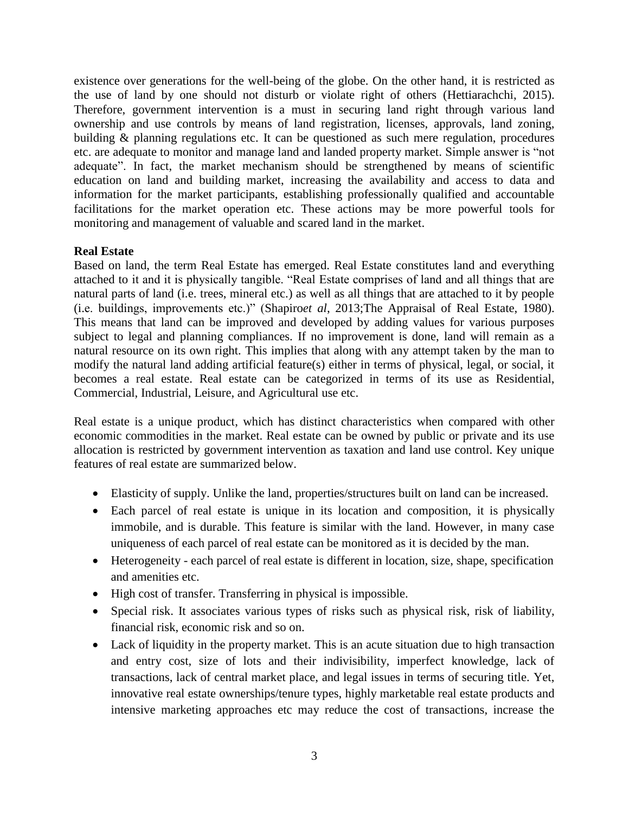existence over generations for the well-being of the globe. On the other hand, it is restricted as the use of land by one should not disturb or violate right of others (Hettiarachchi, 2015). Therefore, government intervention is a must in securing land right through various land ownership and use controls by means of land registration, licenses, approvals, land zoning, building & planning regulations etc. It can be questioned as such mere regulation, procedures etc. are adequate to monitor and manage land and landed property market. Simple answer is "not adequate". In fact, the market mechanism should be strengthened by means of scientific education on land and building market, increasing the availability and access to data and information for the market participants, establishing professionally qualified and accountable facilitations for the market operation etc. These actions may be more powerful tools for monitoring and management of valuable and scared land in the market.

### **Real Estate**

Based on land, the term Real Estate has emerged. Real Estate constitutes land and everything attached to it and it is physically tangible. "Real Estate comprises of land and all things that are natural parts of land (i.e. trees, mineral etc.) as well as all things that are attached to it by people (i.e. buildings, improvements etc.)" (Shapiro*et al*, 2013;The Appraisal of Real Estate, 1980). This means that land can be improved and developed by adding values for various purposes subject to legal and planning compliances. If no improvement is done, land will remain as a natural resource on its own right. This implies that along with any attempt taken by the man to modify the natural land adding artificial feature(s) either in terms of physical, legal, or social, it becomes a real estate. Real estate can be categorized in terms of its use as Residential, Commercial, Industrial, Leisure, and Agricultural use etc.

Real estate is a unique product, which has distinct characteristics when compared with other economic commodities in the market. Real estate can be owned by public or private and its use allocation is restricted by government intervention as taxation and land use control. Key unique features of real estate are summarized below.

- Elasticity of supply. Unlike the land, properties/structures built on land can be increased.
- Each parcel of real estate is unique in its location and composition, it is physically immobile, and is durable. This feature is similar with the land. However, in many case uniqueness of each parcel of real estate can be monitored as it is decided by the man.
- Heterogeneity each parcel of real estate is different in location, size, shape, specification and amenities etc.
- High cost of transfer. Transferring in physical is impossible.
- Special risk. It associates various types of risks such as physical risk, risk of liability, financial risk, economic risk and so on.
- Lack of liquidity in the property market. This is an acute situation due to high transaction and entry cost, size of lots and their indivisibility, imperfect knowledge, lack of transactions, lack of central market place, and legal issues in terms of securing title. Yet, innovative real estate ownerships/tenure types, highly marketable real estate products and intensive marketing approaches etc may reduce the cost of transactions, increase the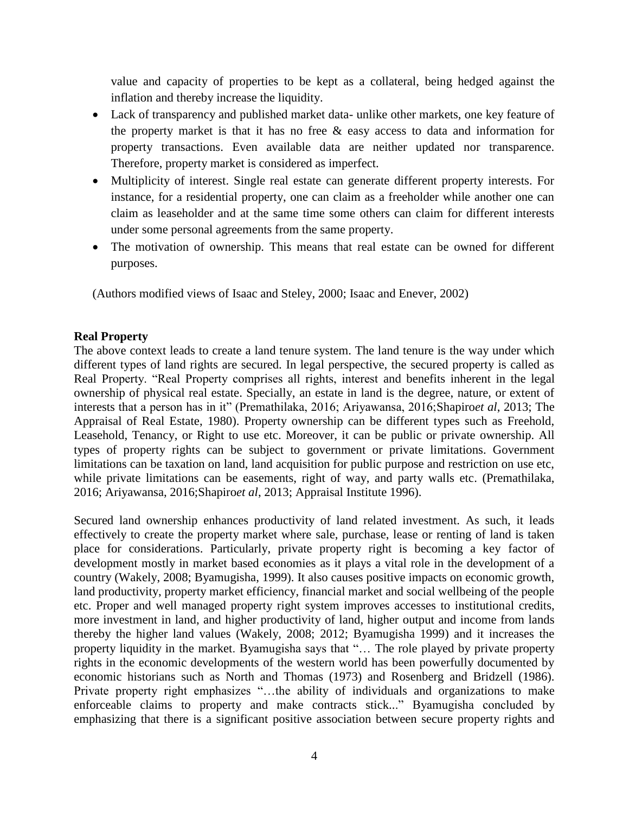value and capacity of properties to be kept as a collateral, being hedged against the inflation and thereby increase the liquidity.

- Lack of transparency and published market data- unlike other markets, one key feature of the property market is that it has no free  $\&$  easy access to data and information for property transactions. Even available data are neither updated nor transparence. Therefore, property market is considered as imperfect.
- Multiplicity of interest. Single real estate can generate different property interests. For instance, for a residential property, one can claim as a freeholder while another one can claim as leaseholder and at the same time some others can claim for different interests under some personal agreements from the same property.
- The motivation of ownership. This means that real estate can be owned for different purposes.

(Authors modified views of Isaac and Steley, 2000; Isaac and Enever, 2002)

### **Real Property**

The above context leads to create a land tenure system. The land tenure is the way under which different types of land rights are secured. In legal perspective, the secured property is called as Real Property. "Real Property comprises all rights, interest and benefits inherent in the legal ownership of physical real estate. Specially, an estate in land is the degree, nature, or extent of interests that a person has in it" (Premathilaka, 2016; Ariyawansa, 2016;Shapiro*et al*, 2013; The Appraisal of Real Estate, 1980). Property ownership can be different types such as Freehold, Leasehold, Tenancy, or Right to use etc. Moreover, it can be public or private ownership. All types of property rights can be subject to government or private limitations. Government limitations can be taxation on land, land acquisition for public purpose and restriction on use etc, while private limitations can be easements, right of way, and party walls etc. (Premathilaka, 2016; Ariyawansa, 2016;Shapiro*et al*, 2013; Appraisal Institute 1996).

Secured land ownership enhances productivity of land related investment. As such, it leads effectively to create the property market where sale, purchase, lease or renting of land is taken place for considerations. Particularly, private property right is becoming a key factor of development mostly in market based economies as it plays a vital role in the development of a country (Wakely, 2008; Byamugisha, 1999). It also causes positive impacts on economic growth, land productivity, property market efficiency, financial market and social wellbeing of the people etc. Proper and well managed property right system improves accesses to institutional credits, more investment in land, and higher productivity of land, higher output and income from lands thereby the higher land values (Wakely, 2008; 2012; Byamugisha 1999) and it increases the property liquidity in the market. Byamugisha says that "… The role played by private property rights in the economic developments of the western world has been powerfully documented by economic historians such as North and Thomas (1973) and Rosenberg and Bridzell (1986). Private property right emphasizes "…the ability of individuals and organizations to make enforceable claims to property and make contracts stick..." Byamugisha concluded by emphasizing that there is a significant positive association between secure property rights and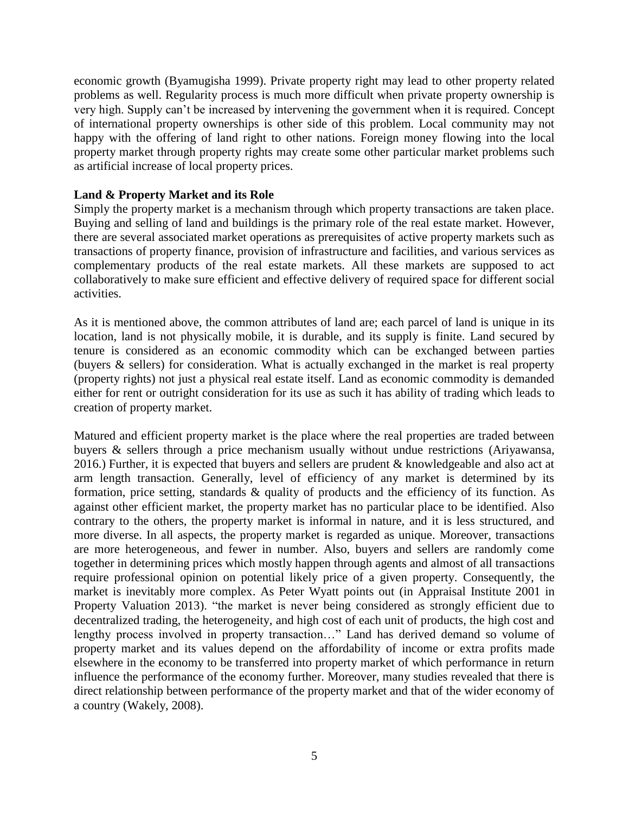economic growth (Byamugisha 1999). Private property right may lead to other property related problems as well. Regularity process is much more difficult when private property ownership is very high. Supply can't be increased by intervening the government when it is required. Concept of international property ownerships is other side of this problem. Local community may not happy with the offering of land right to other nations. Foreign money flowing into the local property market through property rights may create some other particular market problems such as artificial increase of local property prices.

### **Land & Property Market and its Role**

Simply the property market is a mechanism through which property transactions are taken place. Buying and selling of land and buildings is the primary role of the real estate market. However, there are several associated market operations as prerequisites of active property markets such as transactions of property finance, provision of infrastructure and facilities, and various services as complementary products of the real estate markets. All these markets are supposed to act collaboratively to make sure efficient and effective delivery of required space for different social activities.

As it is mentioned above, the common attributes of land are; each parcel of land is unique in its location, land is not physically mobile, it is durable, and its supply is finite. Land secured by tenure is considered as an economic commodity which can be exchanged between parties (buyers & sellers) for consideration. What is actually exchanged in the market is real property (property rights) not just a physical real estate itself. Land as economic commodity is demanded either for rent or outright consideration for its use as such it has ability of trading which leads to creation of property market.

Matured and efficient property market is the place where the real properties are traded between buyers & sellers through a price mechanism usually without undue restrictions (Ariyawansa, 2016.) Further, it is expected that buyers and sellers are prudent & knowledgeable and also act at arm length transaction. Generally, level of efficiency of any market is determined by its formation, price setting, standards & quality of products and the efficiency of its function. As against other efficient market, the property market has no particular place to be identified. Also contrary to the others, the property market is informal in nature, and it is less structured, and more diverse. In all aspects, the property market is regarded as unique. Moreover, transactions are more heterogeneous, and fewer in number. Also, buyers and sellers are randomly come together in determining prices which mostly happen through agents and almost of all transactions require professional opinion on potential likely price of a given property. Consequently, the market is inevitably more complex. As Peter Wyatt points out (in Appraisal Institute 2001 in Property Valuation 2013). "the market is never being considered as strongly efficient due to decentralized trading, the heterogeneity, and high cost of each unit of products, the high cost and lengthy process involved in property transaction…" Land has derived demand so volume of property market and its values depend on the affordability of income or extra profits made elsewhere in the economy to be transferred into property market of which performance in return influence the performance of the economy further. Moreover, many studies revealed that there is direct relationship between performance of the property market and that of the wider economy of a country (Wakely, 2008).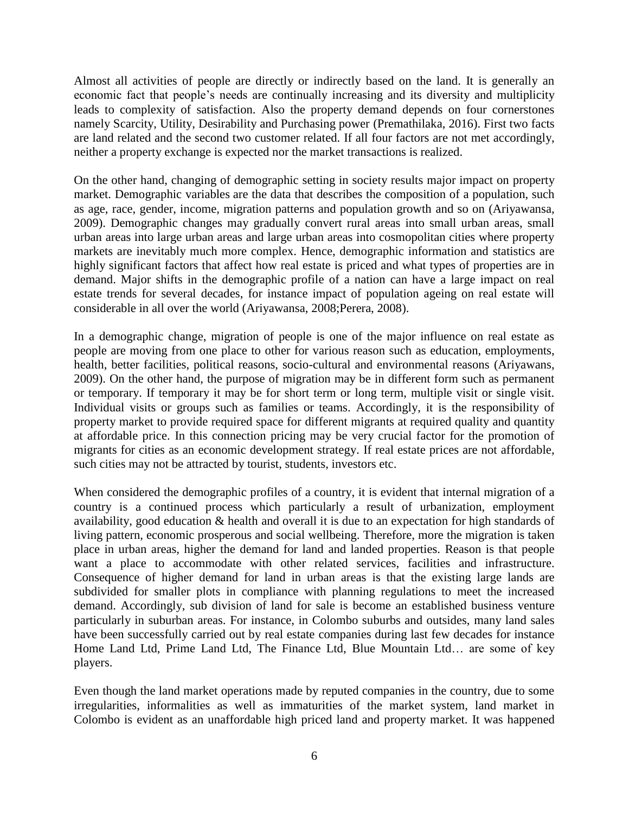Almost all activities of people are directly or indirectly based on the land. It is generally an economic fact that people's needs are continually increasing and its diversity and multiplicity leads to complexity of satisfaction. Also the property demand depends on four cornerstones namely Scarcity, Utility, Desirability and Purchasing power (Premathilaka, 2016). First two facts are land related and the second two customer related. If all four factors are not met accordingly, neither a property exchange is expected nor the market transactions is realized.

On the other hand, changing of demographic setting in society results major impact on property market. [Demographic](http://www.investopedia.com/terms/d/demographics.asp) variables are the data that describes the composition of a population, such as age, race, gender, income, migration patterns and population growth and so on (Ariyawansa, 2009). Demographic changes may gradually convert rural areas into small urban areas, small urban areas into large urban areas and large urban areas into cosmopolitan cities where property markets are inevitably much more complex. Hence, demographic information and statistics are highly significant factors that affect how real estate is priced and what types of properties are in demand. Major shifts in the demographic profile of a nation can have a large impact on real estate trends for several decades, for instance impact of population ageing on real estate will considerable in all over the world (Ariyawansa, 2008;Perera, 2008).

In a demographic change, migration of people is one of the major influence on real estate as people are moving from one place to other for various reason such as education, employments, health, better facilities, political reasons, socio-cultural and environmental reasons (Ariyawans, 2009). On the other hand, the purpose of migration may be in different form such as permanent or temporary. If temporary it may be for short term or long term, multiple visit or single visit. Individual visits or groups such as families or teams. Accordingly, it is the responsibility of property market to provide required space for different migrants at required quality and quantity at affordable price. In this connection pricing may be very crucial factor for the promotion of migrants for cities as an economic development strategy. If real estate prices are not affordable, such cities may not be attracted by tourist, students, investors etc.

When considered the demographic profiles of a country, it is evident that internal migration of a country is a continued process which particularly a result of urbanization, employment availability, good education & health and overall it is due to an expectation for high standards of living pattern, economic prosperous and social wellbeing. Therefore, more the migration is taken place in urban areas, higher the demand for land and landed properties. Reason is that people want a place to accommodate with other related services, facilities and infrastructure. Consequence of higher demand for land in urban areas is that the existing large lands are subdivided for smaller plots in compliance with planning regulations to meet the increased demand. Accordingly, sub division of land for sale is become an established business venture particularly in suburban areas. For instance, in Colombo suburbs and outsides, many land sales have been successfully carried out by real estate companies during last few decades for instance Home Land Ltd, Prime Land Ltd, The Finance Ltd, Blue Mountain Ltd… are some of key players.

Even though the land market operations made by reputed companies in the country, due to some irregularities, informalities as well as immaturities of the market system, land market in Colombo is evident as an unaffordable high priced land and property market. It was happened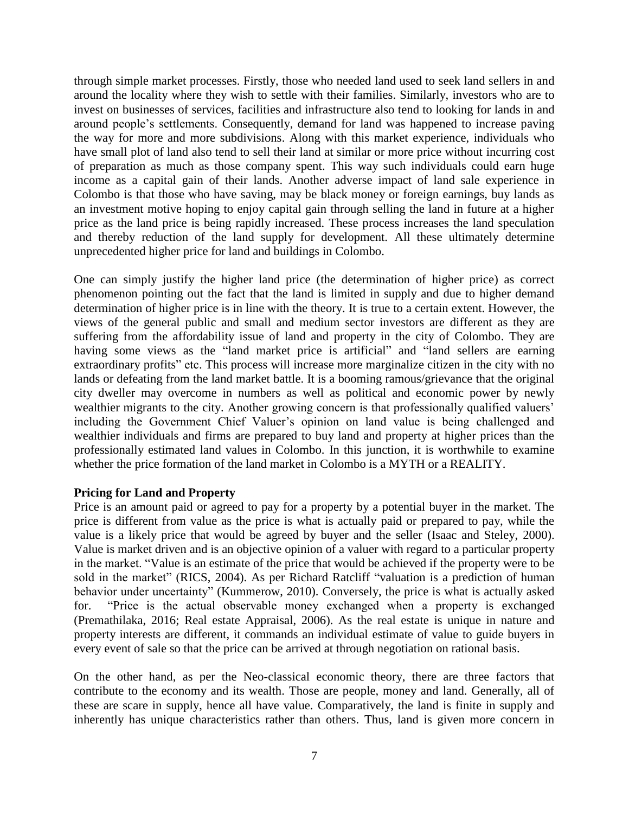through simple market processes. Firstly, those who needed land used to seek land sellers in and around the locality where they wish to settle with their families. Similarly, investors who are to invest on businesses of services, facilities and infrastructure also tend to looking for lands in and around people's settlements. Consequently, demand for land was happened to increase paving the way for more and more subdivisions. Along with this market experience, individuals who have small plot of land also tend to sell their land at similar or more price without incurring cost of preparation as much as those company spent. This way such individuals could earn huge income as a capital gain of their lands. Another adverse impact of land sale experience in Colombo is that those who have saving, may be black money or foreign earnings, buy lands as an investment motive hoping to enjoy capital gain through selling the land in future at a higher price as the land price is being rapidly increased. These process increases the land speculation and thereby reduction of the land supply for development. All these ultimately determine unprecedented higher price for land and buildings in Colombo.

One can simply justify the higher land price (the determination of higher price) as correct phenomenon pointing out the fact that the land is limited in supply and due to higher demand determination of higher price is in line with the theory. It is true to a certain extent. However, the views of the general public and small and medium sector investors are different as they are suffering from the affordability issue of land and property in the city of Colombo. They are having some views as the "land market price is artificial" and "land sellers are earning extraordinary profits" etc. This process will increase more marginalize citizen in the city with no lands or defeating from the land market battle. It is a booming ramous/grievance that the original city dweller may overcome in numbers as well as political and economic power by newly wealthier migrants to the city. Another growing concern is that professionally qualified valuers' including the Government Chief Valuer's opinion on land value is being challenged and wealthier individuals and firms are prepared to buy land and property at higher prices than the professionally estimated land values in Colombo. In this junction, it is worthwhile to examine whether the price formation of the land market in Colombo is a MYTH or a REALITY.

### **Pricing for Land and Property**

Price is an amount paid or agreed to pay for a property by a potential buyer in the market. The price is different from value as the price is what is actually paid or prepared to pay, while the value is a likely price that would be agreed by buyer and the seller (Isaac and Steley, 2000). Value is market driven and is an objective opinion of a valuer with regard to a particular property in the market. "Value is an estimate of the price that would be achieved if the property were to be sold in the market" (RICS, 2004). As per Richard Ratcliff "valuation is a prediction of human behavior under uncertainty" (Kummerow, 2010). Conversely, the price is what is actually asked for. "Price is the actual observable money exchanged when a property is exchanged (Premathilaka, 2016; Real estate Appraisal, 2006). As the real estate is unique in nature and property interests are different, it commands an individual estimate of value to guide buyers in every event of sale so that the price can be arrived at through negotiation on rational basis.

On the other hand, as per the Neo-classical economic theory, there are three factors that contribute to the economy and its wealth. Those are people, money and land. Generally, all of these are scare in supply, hence all have value. Comparatively, the land is finite in supply and inherently has unique characteristics rather than others. Thus, land is given more concern in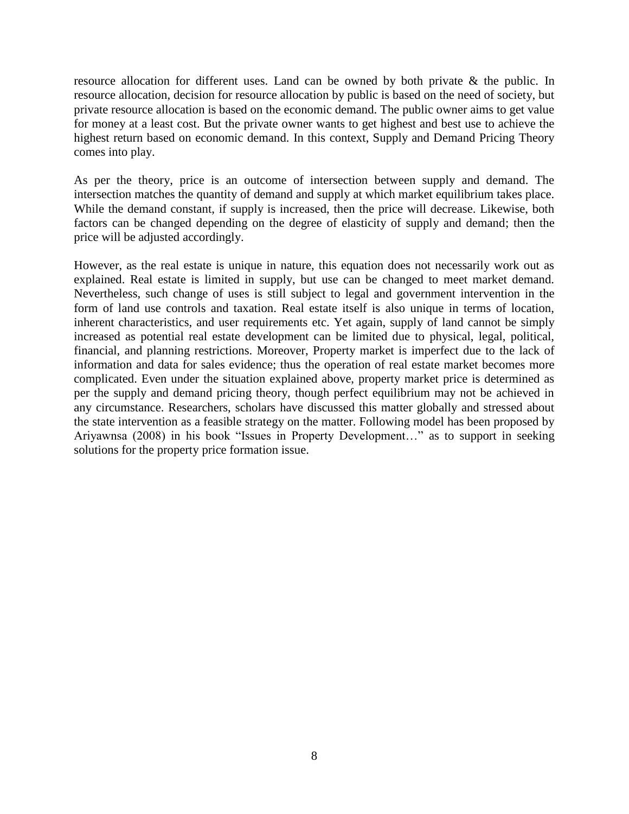resource allocation for different uses. Land can be owned by both private & the public. In resource allocation, decision for resource allocation by public is based on the need of society, but private resource allocation is based on the economic demand. The public owner aims to get value for money at a least cost. But the private owner wants to get highest and best use to achieve the highest return based on economic demand. In this context, Supply and Demand Pricing Theory comes into play.

As per the theory, price is an outcome of intersection between supply and demand. The intersection matches the quantity of demand and supply at which market equilibrium takes place. While the demand constant, if supply is increased, then the price will decrease. Likewise, both factors can be changed depending on the degree of elasticity of supply and demand; then the price will be adjusted accordingly.

However, as the real estate is unique in nature, this equation does not necessarily work out as explained. Real estate is limited in supply, but use can be changed to meet market demand. Nevertheless, such change of uses is still subject to legal and government intervention in the form of land use controls and taxation. Real estate itself is also unique in terms of location, inherent characteristics, and user requirements etc. Yet again, supply of land cannot be simply increased as potential real estate development can be limited due to physical, legal, political, financial, and planning restrictions. Moreover, Property market is imperfect due to the lack of information and data for sales evidence; thus the operation of real estate market becomes more complicated. Even under the situation explained above, property market price is determined as per the supply and demand pricing theory, though perfect equilibrium may not be achieved in any circumstance. Researchers, scholars have discussed this matter globally and stressed about the state intervention as a feasible strategy on the matter. Following model has been proposed by Ariyawnsa (2008) in his book "Issues in Property Development…" as to support in seeking solutions for the property price formation issue.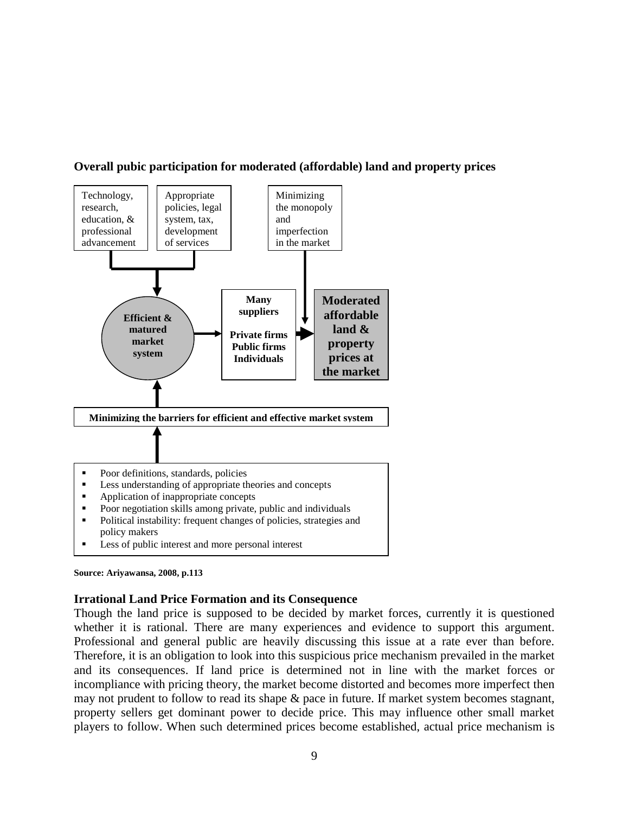



#### **Source: Ariyawansa, 2008, p.113**

### **Irrational Land Price Formation and its Consequence**

Though the land price is supposed to be decided by market forces, currently it is questioned whether it is rational. There are many experiences and evidence to support this argument. Professional and general public are heavily discussing this issue at a rate ever than before. Therefore, it is an obligation to look into this suspicious price mechanism prevailed in the market and its consequences. If land price is determined not in line with the market forces or incompliance with pricing theory, the market become distorted and becomes more imperfect then may not prudent to follow to read its shape & pace in future. If market system becomes stagnant, property sellers get dominant power to decide price. This may influence other small market players to follow. When such determined prices become established, actual price mechanism is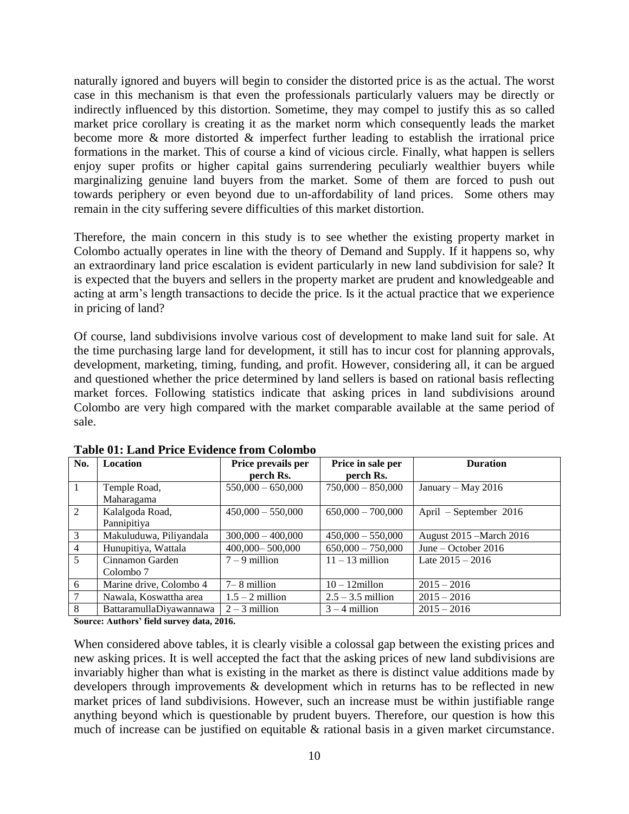naturally ignored and buyers will begin to consider the distorted price is as the actual. The worst case in this mechanism is that even the professionals particularly valuers may be directly or indirectly influenced by this distortion. Sometime, they may compel to justify this as so called market price corollary is creating it as the market norm which consequently leads the market become more & more distorted & imperfect further leading to establish the irrational price formations in the market. This of course a kind of vicious circle. Finally, what happen is sellers enjoy super profits or higher capital gains surrendering peculiarly wealthier buyers while marginalizing genuine land buyers from the market. Some of them are forced to push out towards periphery or even beyond due to un-affordability of land prices. Some others may remain in the city suffering severe difficulties of this market distortion.

Therefore, the main concern in this study is to see whether the existing property market in Colombo actually operates in line with the theory of Demand and Supply. If it happens so, why an extraordinary land price escalation is evident particularly in new land subdivision for sale? It is expected that the buyers and sellers in the property market are prudent and knowledgeable and acting at arm's length transactions to decide the price. Is it the actual practice that we experience in pricing of land?

Of course, land subdivisions involve various cost of development to make land suit for sale. At the time purchasing large land for development, it still has to incur cost for planning approvals, development, marketing, timing, funding, and profit. However, considering all, it can be argued and questioned whether the price determined by land sellers is based on rational basis reflecting market forces. Following statistics indicate that asking prices in land subdivisions around Colombo are very high compared with the market comparable available at the same period of sale.

| No.             | <b>Location</b>         | Price prevails per  | Price in sale per   | <b>Duration</b>          |
|-----------------|-------------------------|---------------------|---------------------|--------------------------|
|                 |                         | perch Rs.           | perch Rs.           |                          |
| $\vert 1 \vert$ | Temple Road,            | $550,000 - 650,000$ | $750,000 - 850,000$ | January – May 2016       |
|                 | Maharagama              |                     |                     |                          |
| 2               | Kalalgoda Road,         | $450,000 - 550,000$ | $650,000 - 700,000$ | April – September 2016   |
|                 | Pannipitiya             |                     |                     |                          |
| $\overline{3}$  | Makuluduwa, Piliyandala | $300,000 - 400,000$ | $450,000 - 550,000$ | August 2015 – March 2016 |
| $\overline{4}$  | Hunupitiya, Wattala     | $400,000 - 500,000$ | $650,000 - 750,000$ | June – October 2016      |
| $\overline{5}$  | Cinnamon Garden         | $7 - 9$ million     | $11 - 13$ million   | Late $2015 - 2016$       |
|                 | Colombo <sub>7</sub>    |                     |                     |                          |
| 6               | Marine drive, Colombo 4 | $7-8$ million       | $10 - 12$ millon    | $2015 - 2016$            |
| $\overline{7}$  | Nawala, Koswattha area  | $1.5 - 2$ million   | $2.5 - 3.5$ million | $2015 - 2016$            |
| 8               | BattaramullaDiyawannawa | $2 - 3$ million     | $3 - 4$ million     | $2015 - 2016$            |

**Table 01: Land Price Evidence from Colombo** 

**Source: Authors' field survey data, 2016.**

When considered above tables, it is clearly visible a colossal gap between the existing prices and new asking prices. It is well accepted the fact that the asking prices of new land subdivisions are invariably higher than what is existing in the market as there is distinct value additions made by developers through improvements & development which in returns has to be reflected in new market prices of land subdivisions. However, such an increase must be within justifiable range anything beyond which is questionable by prudent buyers. Therefore, our question is how this much of increase can be justified on equitable & rational basis in a given market circumstance.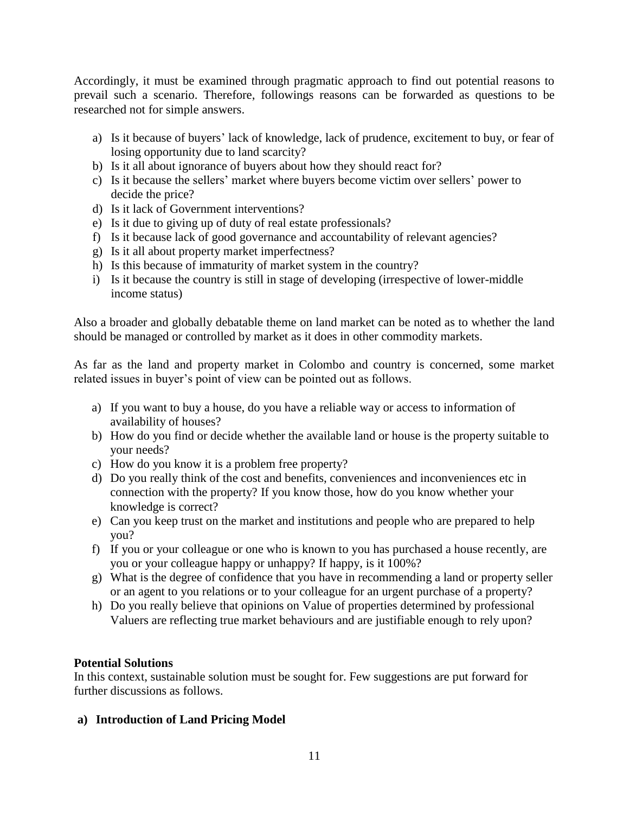Accordingly, it must be examined through pragmatic approach to find out potential reasons to prevail such a scenario. Therefore, followings reasons can be forwarded as questions to be researched not for simple answers.

- a) Is it because of buyers' lack of knowledge, lack of prudence, excitement to buy, or fear of losing opportunity due to land scarcity?
- b) Is it all about ignorance of buyers about how they should react for?
- c) Is it because the sellers' market where buyers become victim over sellers' power to decide the price?
- d) Is it lack of Government interventions?
- e) Is it due to giving up of duty of real estate professionals?
- f) Is it because lack of good governance and accountability of relevant agencies?
- g) Is it all about property market imperfectness?
- h) Is this because of immaturity of market system in the country?
- i) Is it because the country is still in stage of developing (irrespective of lower-middle income status)

Also a broader and globally debatable theme on land market can be noted as to whether the land should be managed or controlled by market as it does in other commodity markets.

As far as the land and property market in Colombo and country is concerned, some market related issues in buyer's point of view can be pointed out as follows.

- a) If you want to buy a house, do you have a reliable way or access to information of availability of houses?
- b) How do you find or decide whether the available land or house is the property suitable to your needs?
- c) How do you know it is a problem free property?
- d) Do you really think of the cost and benefits, conveniences and inconveniences etc in connection with the property? If you know those, how do you know whether your knowledge is correct?
- e) Can you keep trust on the market and institutions and people who are prepared to help you?
- f) If you or your colleague or one who is known to you has purchased a house recently, are you or your colleague happy or unhappy? If happy, is it 100%?
- g) What is the degree of confidence that you have in recommending a land or property seller or an agent to you relations or to your colleague for an urgent purchase of a property?
- h) Do you really believe that opinions on Value of properties determined by professional Valuers are reflecting true market behaviours and are justifiable enough to rely upon?

### **Potential Solutions**

In this context, sustainable solution must be sought for. Few suggestions are put forward for further discussions as follows.

### **a) Introduction of Land Pricing Model**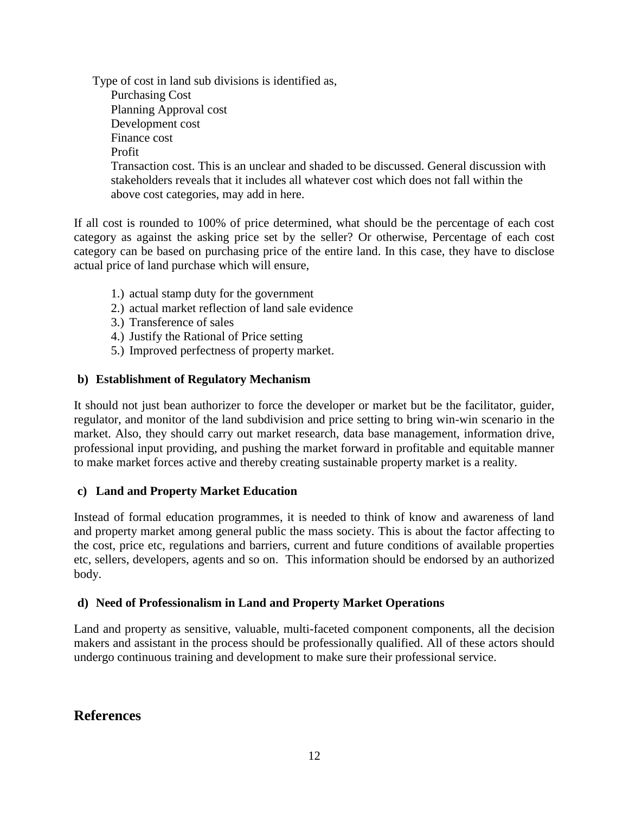Type of cost in land sub divisions is identified as, Purchasing Cost Planning Approval cost Development cost Finance cost Profit Transaction cost. This is an unclear and shaded to be discussed. General discussion with stakeholders reveals that it includes all whatever cost which does not fall within the above cost categories, may add in here.

If all cost is rounded to 100% of price determined, what should be the percentage of each cost category as against the asking price set by the seller? Or otherwise, Percentage of each cost category can be based on purchasing price of the entire land. In this case, they have to disclose actual price of land purchase which will ensure,

- 1.) actual stamp duty for the government
- 2.) actual market reflection of land sale evidence
- 3.) Transference of sales
- 4.) Justify the Rational of Price setting
- 5.) Improved perfectness of property market.

### **b) Establishment of Regulatory Mechanism**

It should not just bean authorizer to force the developer or market but be the facilitator, guider, regulator, and monitor of the land subdivision and price setting to bring win-win scenario in the market. Also, they should carry out market research, data base management, information drive, professional input providing, and pushing the market forward in profitable and equitable manner to make market forces active and thereby creating sustainable property market is a reality.

### **c) Land and Property Market Education**

Instead of formal education programmes, it is needed to think of know and awareness of land and property market among general public the mass society. This is about the factor affecting to the cost, price etc, regulations and barriers, current and future conditions of available properties etc, sellers, developers, agents and so on. This information should be endorsed by an authorized body.

### **d) Need of Professionalism in Land and Property Market Operations**

Land and property as sensitive, valuable, multi-faceted component components, all the decision makers and assistant in the process should be professionally qualified. All of these actors should undergo continuous training and development to make sure their professional service.

### **References**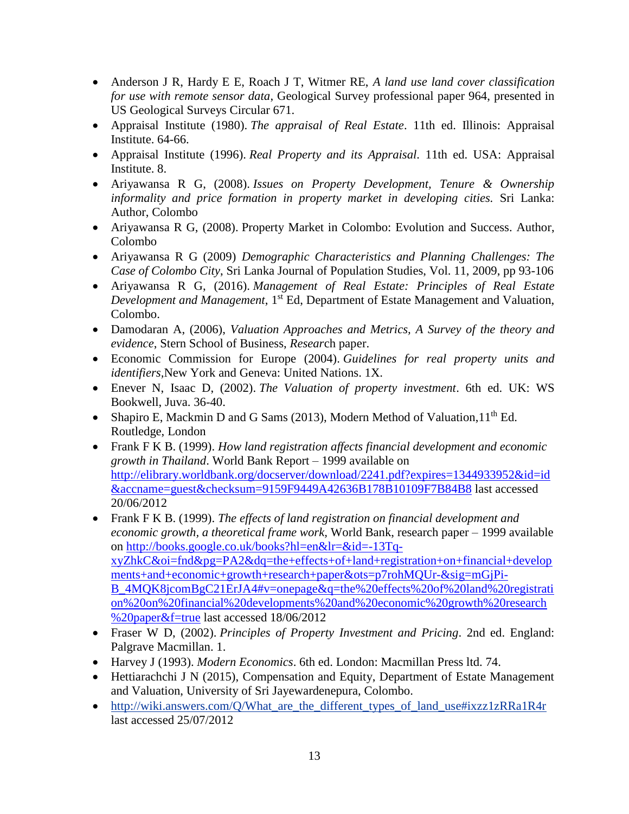- Anderson J R, Hardy E E, Roach J T, Witmer RE, *A land use land cover classification for use with remote sensor data*, Geological Survey professional paper 964, presented in US Geological Surveys Circular 671.
- Appraisal Institute (1980). *The appraisal of Real Estate*. 11th ed. Illinois: Appraisal Institute. 64-66.
- Appraisal Institute (1996). *Real Property and its Appraisal.* 11th ed. USA: Appraisal Institute. 8.
- Ariyawansa R G, (2008). *Issues on Property Development, Tenure & Ownership informality and price formation in property market in developing cities.* Sri Lanka: Author, Colombo
- Ariyawansa R G, (2008). Property Market in Colombo: Evolution and Success. Author, Colombo
- Ariyawansa R G (2009) *Demographic Characteristics and Planning Challenges: The Case of Colombo City*, Sri Lanka Journal of Population Studies, Vol. 11, 2009, pp 93-106
- Ariyawansa R G, (2016). *Management of Real Estate: Principles of Real Estate Development and Management*, 1<sup>st</sup> Ed, Department of Estate Management and Valuation, Colombo.
- Damodaran A, (2006), *Valuation Approaches and Metrics, A Survey of the theory and evidence*, Stern School of Business, *Resear*ch paper.
- Economic Commission for Europe (2004). *Guidelines for real property units and identifiers,*New York and Geneva: United Nations. 1X.
- Enever N, Isaac D, (2002). *The Valuation of property investment*. 6th ed. UK: WS Bookwell, Juva. 36-40.
- Shapiro E, Mackmin D and G Sams (2013), Modern Method of Valuation,  $11^{th}$  Ed. Routledge, London
- Frank F K B. (1999). *How land registration affects financial development and economic growth in Thailand*. World Bank Report – 1999 available on [http://elibrary.worldbank.org/docserver/download/2241.pdf?expires=1344933952&id=id](http://elibrary.worldbank.org/docserver/download/2241.pdf?expires=1344933952&id=id&accname=guest&checksum=9159F9449A42636B178B10109F7B84B8) [&accname=guest&checksum=9159F9449A42636B178B10109F7B84B8](http://elibrary.worldbank.org/docserver/download/2241.pdf?expires=1344933952&id=id&accname=guest&checksum=9159F9449A42636B178B10109F7B84B8) last accessed 20/06/2012
- Frank F K B. (1999). *The effects of land registration on financial development and economic growth, a theoretical frame work,* World Bank, research paper – 1999 available on [http://books.google.co.uk/books?hl=en&lr=&id=-13Tq](http://books.google.co.uk/books?hl=en&lr=&id=-13Tq-xyZhkC&oi=fnd&pg=PA2&dq=the+effects+of+land+registration+on+financial+developments+and+economic+growth+research+paper&ots=p7rohMQUr-&sig=mGjPi-B_4MQK8jcomBgC21ErJA4#v=onepage&q=the%20effects%20of%20land%20registration%20on%20financial%20developments%20and%20economic%20growth%20research%20paper&f=true)[xyZhkC&oi=fnd&pg=PA2&dq=the+effects+of+land+registration+on+financial+develop](http://books.google.co.uk/books?hl=en&lr=&id=-13Tq-xyZhkC&oi=fnd&pg=PA2&dq=the+effects+of+land+registration+on+financial+developments+and+economic+growth+research+paper&ots=p7rohMQUr-&sig=mGjPi-B_4MQK8jcomBgC21ErJA4#v=onepage&q=the%20effects%20of%20land%20registration%20on%20financial%20developments%20and%20economic%20growth%20research%20paper&f=true) [ments+and+economic+growth+research+paper&ots=p7rohMQUr-&sig=mGjPi-](http://books.google.co.uk/books?hl=en&lr=&id=-13Tq-xyZhkC&oi=fnd&pg=PA2&dq=the+effects+of+land+registration+on+financial+developments+and+economic+growth+research+paper&ots=p7rohMQUr-&sig=mGjPi-B_4MQK8jcomBgC21ErJA4#v=onepage&q=the%20effects%20of%20land%20registration%20on%20financial%20developments%20and%20economic%20growth%20research%20paper&f=true)[B\\_4MQK8jcomBgC21ErJA4#v=onepage&q=the%20effects%20of%20land%20registrati](http://books.google.co.uk/books?hl=en&lr=&id=-13Tq-xyZhkC&oi=fnd&pg=PA2&dq=the+effects+of+land+registration+on+financial+developments+and+economic+growth+research+paper&ots=p7rohMQUr-&sig=mGjPi-B_4MQK8jcomBgC21ErJA4#v=onepage&q=the%20effects%20of%20land%20registration%20on%20financial%20developments%20and%20economic%20growth%20research%20paper&f=true) [on%20on%20financial%20developments%20and%20economic%20growth%20research](http://books.google.co.uk/books?hl=en&lr=&id=-13Tq-xyZhkC&oi=fnd&pg=PA2&dq=the+effects+of+land+registration+on+financial+developments+and+economic+growth+research+paper&ots=p7rohMQUr-&sig=mGjPi-B_4MQK8jcomBgC21ErJA4#v=onepage&q=the%20effects%20of%20land%20registration%20on%20financial%20developments%20and%20economic%20growth%20research%20paper&f=true) [%20paper&f=true](http://books.google.co.uk/books?hl=en&lr=&id=-13Tq-xyZhkC&oi=fnd&pg=PA2&dq=the+effects+of+land+registration+on+financial+developments+and+economic+growth+research+paper&ots=p7rohMQUr-&sig=mGjPi-B_4MQK8jcomBgC21ErJA4#v=onepage&q=the%20effects%20of%20land%20registration%20on%20financial%20developments%20and%20economic%20growth%20research%20paper&f=true) last accessed 18/06/2012
- Fraser W D, (2002). *Principles of Property Investment and Pricing*. 2nd ed. England: Palgrave Macmillan. 1.
- Harvey J (1993). *Modern Economics*. 6th ed. London: Macmillan Press ltd. 74.
- Hettiarachchi J N (2015), Compensation and Equity, Department of Estate Management and Valuation, University of Sri Jayewardenepura, Colombo.
- [http://wiki.answers.com/Q/What\\_are\\_the\\_different\\_types\\_of\\_land\\_use#ixzz1zRRa1R4r](http://wiki.answers.com/Q/What_are_the_different_types_of_land_use#ixzz1zRRa1R4r) last accessed 25/07/2012